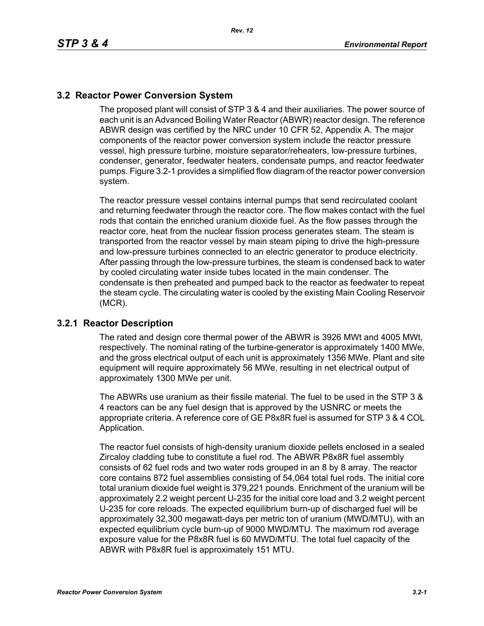## **3.2 Reactor Power Conversion System**

The proposed plant will consist of STP 3 & 4 and their auxiliaries. The power source of each unit is an Advanced Boiling Water Reactor (ABWR) reactor design. The reference ABWR design was certified by the NRC under 10 CFR 52, Appendix A. The major components of the reactor power conversion system include the reactor pressure vessel, high pressure turbine, moisture separator/reheaters, low-pressure turbines, condenser, generator, feedwater heaters, condensate pumps, and reactor feedwater pumps. Figure 3.2-1 provides a simplified flow diagram of the reactor power conversion system.

The reactor pressure vessel contains internal pumps that send recirculated coolant and returning feedwater through the reactor core. The flow makes contact with the fuel rods that contain the enriched uranium dioxide fuel. As the flow passes through the reactor core, heat from the nuclear fission process generates steam. The steam is transported from the reactor vessel by main steam piping to drive the high-pressure and low-pressure turbines connected to an electric generator to produce electricity. After passing through the low-pressure turbines, the steam is condensed back to water by cooled circulating water inside tubes located in the main condenser. The condensate is then preheated and pumped back to the reactor as feedwater to repeat the steam cycle. The circulating water is cooled by the existing Main Cooling Reservoir (MCR).

## **3.2.1 Reactor Description**

The rated and design core thermal power of the ABWR is 3926 MWt and 4005 MWt, respectively. The nominal rating of the turbine-generator is approximately 1400 MWe, and the gross electrical output of each unit is approximately 1356 MWe. Plant and site equipment will require approximately 56 MWe, resulting in net electrical output of approximately 1300 MWe per unit.

The ABWRs use uranium as their fissile material. The fuel to be used in the STP 3 & 4 reactors can be any fuel design that is approved by the USNRC or meets the appropriate criteria. A reference core of GE P8x8R fuel is assumed for STP 3 & 4 COL Application.

The reactor fuel consists of high-density uranium dioxide pellets enclosed in a sealed Zircaloy cladding tube to constitute a fuel rod. The ABWR P8x8R fuel assembly consists of 62 fuel rods and two water rods grouped in an 8 by 8 array. The reactor core contains 872 fuel assemblies consisting of 54,064 total fuel rods. The initial core total uranium dioxide fuel weight is 379,221 pounds. Enrichment of the uranium will be approximately 2.2 weight percent U-235 for the initial core load and 3.2 weight percent U-235 for core reloads. The expected equilibrium burn-up of discharged fuel will be approximately 32,300 megawatt-days per metric ton of uranium (MWD/MTU), with an expected equilibrium cycle burn-up of 9000 MWD/MTU. The maximum rod average exposure value for the P8x8R fuel is 60 MWD/MTU. The total fuel capacity of the ABWR with P8x8R fuel is approximately 151 MTU.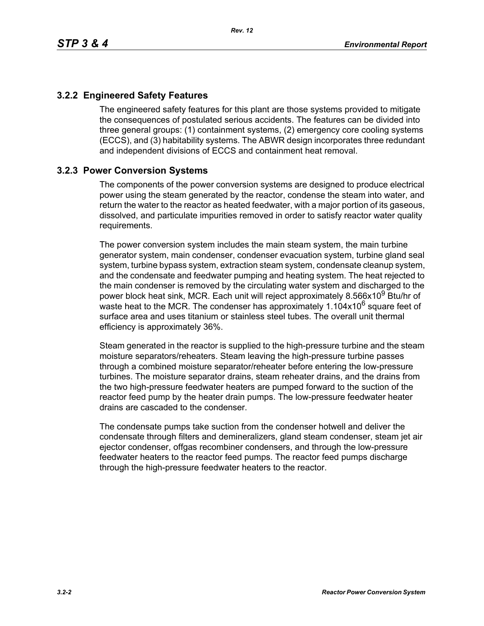## **3.2.2 Engineered Safety Features**

The engineered safety features for this plant are those systems provided to mitigate the consequences of postulated serious accidents. The features can be divided into three general groups: (1) containment systems, (2) emergency core cooling systems (ECCS), and (3) habitability systems. The ABWR design incorporates three redundant and independent divisions of ECCS and containment heat removal.

## **3.2.3 Power Conversion Systems**

The components of the power conversion systems are designed to produce electrical power using the steam generated by the reactor, condense the steam into water, and return the water to the reactor as heated feedwater, with a major portion of its gaseous, dissolved, and particulate impurities removed in order to satisfy reactor water quality requirements.

The power conversion system includes the main steam system, the main turbine generator system, main condenser, condenser evacuation system, turbine gland seal system, turbine bypass system, extraction steam system, condensate cleanup system, and the condensate and feedwater pumping and heating system. The heat rejected to the main condenser is removed by the circulating water system and discharged to the power block heat sink, MCR. Each unit will reject approximately 8.566x10<sup>9</sup> Btu/hr of waste heat to the MCR. The condenser has approximately  $1.104x10^6$  square feet of surface area and uses titanium or stainless steel tubes. The overall unit thermal efficiency is approximately 36%.

Steam generated in the reactor is supplied to the high-pressure turbine and the steam moisture separators/reheaters. Steam leaving the high-pressure turbine passes through a combined moisture separator/reheater before entering the low-pressure turbines. The moisture separator drains, steam reheater drains, and the drains from the two high-pressure feedwater heaters are pumped forward to the suction of the reactor feed pump by the heater drain pumps. The low-pressure feedwater heater drains are cascaded to the condenser.

The condensate pumps take suction from the condenser hotwell and deliver the condensate through filters and demineralizers, gland steam condenser, steam jet air ejector condenser, offgas recombiner condensers, and through the low-pressure feedwater heaters to the reactor feed pumps. The reactor feed pumps discharge through the high-pressure feedwater heaters to the reactor.